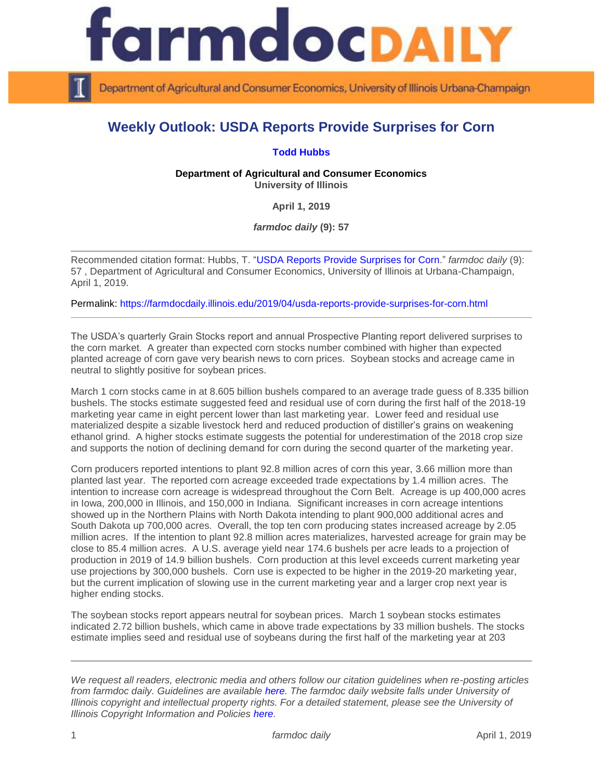

Department of Agricultural and Consumer Economics, University of Illinois Urbana-Champaign

## **Weekly Outlook: USDA Reports Provide Surprises for Corn**

## **[Todd Hubbs](https://ace.illinois.edu/directory/jhubbs3)**

**Department of Agricultural and Consumer Economics University of Illinois**

**April 1, 2019**

*farmdoc daily* **(9): 57**

Recommended citation format: Hubbs, T. ["USDA Reports Provide Surprises for Corn.](https://farmdocdaily.illinois.edu/2019/04/usda-reports-provide-surprises-for-corn.html)" *farmdoc daily* (9): 57 , Department of Agricultural and Consumer Economics, University of Illinois at Urbana-Champaign, April 1, 2019.

Permalink:<https://farmdocdaily.illinois.edu/2019/04/usda-reports-provide-surprises-for-corn.html>

The USDA's quarterly Grain Stocks report and annual Prospective Planting report delivered surprises to the corn market. A greater than expected corn stocks number combined with higher than expected planted acreage of corn gave very bearish news to corn prices. Soybean stocks and acreage came in neutral to slightly positive for soybean prices.

March 1 corn stocks came in at 8.605 billion bushels compared to an average trade guess of 8.335 billion bushels. The stocks estimate suggested feed and residual use of corn during the first half of the 2018-19 marketing year came in eight percent lower than last marketing year. Lower feed and residual use materialized despite a sizable livestock herd and reduced production of distiller's grains on weakening ethanol grind. A higher stocks estimate suggests the potential for underestimation of the 2018 crop size and supports the notion of declining demand for corn during the second quarter of the marketing year.

Corn producers reported intentions to plant 92.8 million acres of corn this year, 3.66 million more than planted last year. The reported corn acreage exceeded trade expectations by 1.4 million acres. The intention to increase corn acreage is widespread throughout the Corn Belt. Acreage is up 400,000 acres in Iowa, 200,000 in Illinois, and 150,000 in Indiana. Significant increases in corn acreage intentions showed up in the Northern Plains with North Dakota intending to plant 900,000 additional acres and South Dakota up 700,000 acres. Overall, the top ten corn producing states increased acreage by 2.05 million acres. If the intention to plant 92.8 million acres materializes, harvested acreage for grain may be close to 85.4 million acres. A U.S. average yield near 174.6 bushels per acre leads to a projection of production in 2019 of 14.9 billion bushels. Corn production at this level exceeds current marketing year use projections by 300,000 bushels. Corn use is expected to be higher in the 2019-20 marketing year, but the current implication of slowing use in the current marketing year and a larger crop next year is higher ending stocks.

The soybean stocks report appears neutral for soybean prices. March 1 soybean stocks estimates indicated 2.72 billion bushels, which came in above trade expectations by 33 million bushels. The stocks estimate implies seed and residual use of soybeans during the first half of the marketing year at 203

*We request all readers, electronic media and others follow our citation guidelines when re-posting articles from farmdoc daily. Guidelines are available [here.](http://farmdocdaily.illinois.edu/citationguide.html) The farmdoc daily website falls under University of Illinois copyright and intellectual property rights. For a detailed statement, please see the University of Illinois Copyright Information and Policies [here.](http://www.cio.illinois.edu/policies/copyright/)*